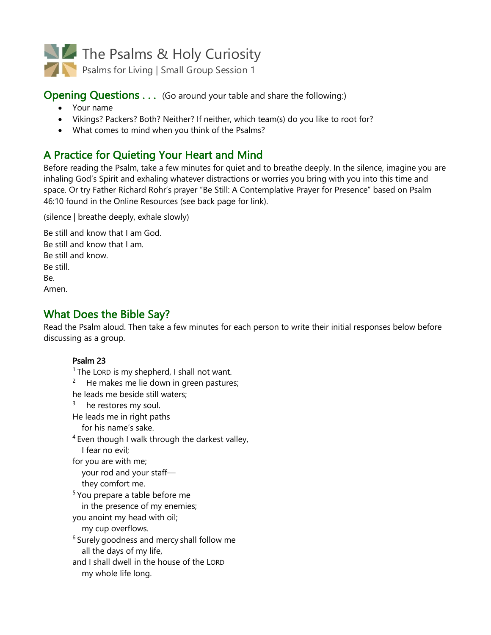

### **Opening Questions ...** (Go around your table and share the following:)

- Your name
- Vikings? Packers? Both? Neither? If neither, which team(s) do you like to root for?
- What comes to mind when you think of the Psalms?

# A Practice for Quieting Your Heart and Mind

Before reading the Psalm, take a few minutes for quiet and to breathe deeply. In the silence, imagine you are inhaling God's Spirit and exhaling whatever distractions or worries you bring with you into this time and space. Or try Father Richard Rohr's prayer "Be Still: A Contemplative Prayer for Presence" based on Psalm 46:10 found in the Online Resources (see back page for link).

(silence | breathe deeply, exhale slowly)

Be still and know that I am God. Be still and know that I am. Be still and know. Be still. Be. Amen.

## What Does the Bible Say?

Read the Psalm aloud. Then take a few minutes for each person to write their initial responses below before discussing as a group.

**Psalm 23** 1 The LORD is my shepherd, I shall not want.  $2^2$  He makes me lie down in green pastures; he leads me beside still waters;  $3$  he restores my soul. He leads me in right paths for his name's sake.  $4$  Even though I walk through the darkest valley, I fear no evil; for you are with me; your rod and your staff they comfort me. <sup>5</sup> You prepare a table before me in the presence of my enemies; you anoint my head with oil; my cup overflows. <sup>6</sup> Surely goodness and mercy shall follow me all the days of my life, and I shall dwell in the house of the LORD my whole life long.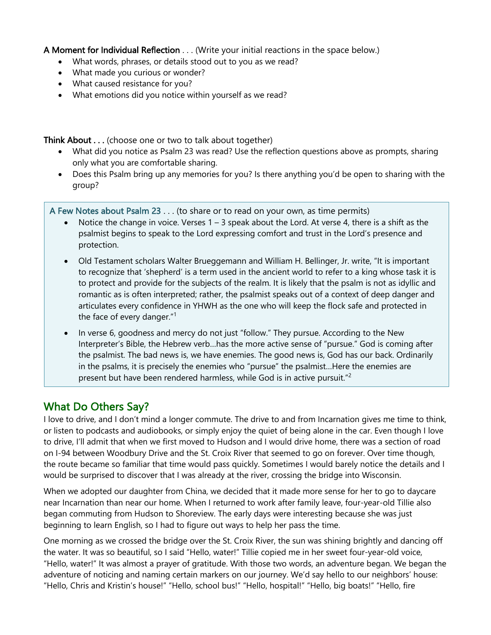A Moment for Individual Reflection . . . (Write your initial reactions in the space below.)

- What words, phrases, or details stood out to you as we read?
- What made you curious or wonder?
- What caused resistance for you?
- What emotions did you notice within yourself as we read?

Think About . . . (choose one or two to talk about together)

- What did you notice as Psalm 23 was read? Use the reflection questions above as prompts, sharing only what you are comfortable sharing.
- Does this Psalm bring up any memories for you? Is there anything you'd be open to sharing with the group?

A Few Notes about Psalm 23 . . . (to share or to read on your own, as time permits)

- Notice the change in voice. Verses  $1 3$  speak about the Lord. At verse 4, there is a shift as the psalmist begins to speak to the Lord expressing comfort and trust in the Lord's presence and protection.
- Old Testament scholars Walter Brueggemann and William H. Bellinger, Jr. write, "It is important to recognize that 'shepherd' is a term used in the ancient world to refer to a king whose task it is to protect and provide for the subjects of the realm. It is likely that the psalm is not as idyllic and romantic as is often interpreted; rather, the psalmist speaks out of a context of deep danger and articulates every confidence in YHWH as the one who will keep the flock safe and protected in the face of every danger."1
- In verse 6, goodness and mercy do not just "follow." They pursue. According to the New Interpreter's Bible, the Hebrew verb…has the more active sense of "pursue." God is coming after the psalmist. The bad news is, we have enemies. The good news is, God has our back. Ordinarily in the psalms, it is precisely the enemies who "pursue" the psalmist…Here the enemies are present but have been rendered harmless, while God is in active pursuit."<sup>2</sup>

## What Do Others Say?

I love to drive, and I don't mind a longer commute. The drive to and from Incarnation gives me time to think, or listen to podcasts and audiobooks, or simply enjoy the quiet of being alone in the car. Even though I love to drive, I'll admit that when we first moved to Hudson and I would drive home, there was a section of road on I-94 between Woodbury Drive and the St. Croix River that seemed to go on forever. Over time though, the route became so familiar that time would pass quickly. Sometimes I would barely notice the details and I would be surprised to discover that I was already at the river, crossing the bridge into Wisconsin.

When we adopted our daughter from China, we decided that it made more sense for her to go to daycare near Incarnation than near our home. When I returned to work after family leave, four-year-old Tillie also began commuting from Hudson to Shoreview. The early days were interesting because she was just beginning to learn English, so I had to figure out ways to help her pass the time.

One morning as we crossed the bridge over the St. Croix River, the sun was shining brightly and dancing off the water. It was so beautiful, so I said "Hello, water!" Tillie copied me in her sweet four-year-old voice, "Hello, water!" It was almost a prayer of gratitude. With those two words, an adventure began. We began the adventure of noticing and naming certain markers on our journey. We'd say hello to our neighbors' house: "Hello, Chris and Kristin's house!" "Hello, school bus!" "Hello, hospital!" "Hello, big boats!" "Hello, fire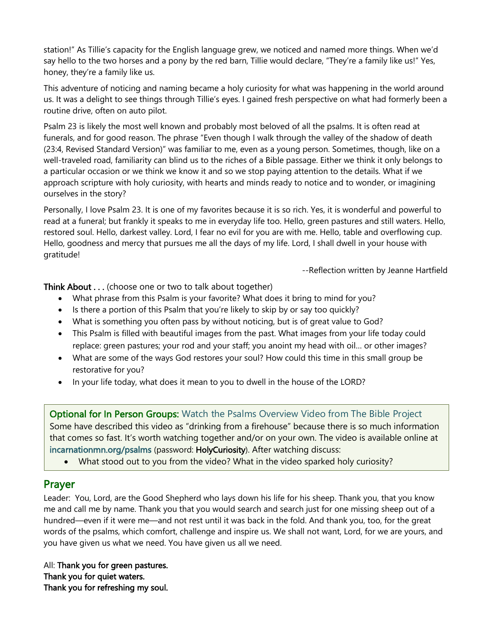station!" As Tillie's capacity for the English language grew, we noticed and named more things. When we'd say hello to the two horses and a pony by the red barn, Tillie would declare, "They're a family like us!" Yes, honey, they're a family like us.

This adventure of noticing and naming became a holy curiosity for what was happening in the world around us. It was a delight to see things through Tillie's eyes. I gained fresh perspective on what had formerly been a routine drive, often on auto pilot.

Psalm 23 is likely the most well known and probably most beloved of all the psalms. It is often read at funerals, and for good reason. The phrase "Even though I walk through the valley of the shadow of death (23:4, Revised Standard Version)" was familiar to me, even as a young person. Sometimes, though, like on a well-traveled road, familiarity can blind us to the riches of a Bible passage. Either we think it only belongs to a particular occasion or we think we know it and so we stop paying attention to the details. What if we approach scripture with holy curiosity, with hearts and minds ready to notice and to wonder, or imagining ourselves in the story?

Personally, I love Psalm 23. It is one of my favorites because it is so rich. Yes, it is wonderful and powerful to read at a funeral; but frankly it speaks to me in everyday life too. Hello, green pastures and still waters. Hello, restored soul. Hello, darkest valley. Lord, I fear no evil for you are with me. Hello, table and overflowing cup. Hello, goodness and mercy that pursues me all the days of my life. Lord, I shall dwell in your house with gratitude!

--Reflection written by Jeanne Hartfield

Think About . . . (choose one or two to talk about together)

- What phrase from this Psalm is your favorite? What does it bring to mind for you?
- Is there a portion of this Psalm that you're likely to skip by or say too quickly?
- What is something you often pass by without noticing, but is of great value to God?
- This Psalm is filled with beautiful images from the past. What images from your life today could replace: green pastures; your rod and your staff; you anoint my head with oil… or other images?
- What are some of the ways God restores your soul? How could this time in this small group be restorative for you?
- In your life today, what does it mean to you to dwell in the house of the LORD?

**Optional for In Person Groups:** Watch the Psalms Overview Video from The Bible Project Some have described this video as "drinking from a firehouse" because there is so much information that comes so fast. It's worth watching together and/or on your own. The video is available online at incarnationmn.org/psalms (password: HolyCuriosity). After watching discuss:

• What stood out to you from the video? What in the video sparked holy curiosity?

## Prayer

Leader: You, Lord, are the Good Shepherd who lays down his life for his sheep. Thank you, that you know me and call me by name. Thank you that you would search and search just for one missing sheep out of a hundred—even if it were me—and not rest until it was back in the fold. And thank you, too, for the great words of the psalms, which comfort, challenge and inspire us. We shall not want, Lord, for we are yours, and you have given us what we need. You have given us all we need.

All: Thank you for green pastures. Thank you for quiet waters. Thank you for refreshing my soul.